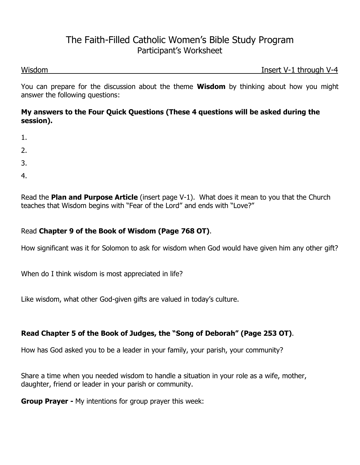## The Faith-Filled Catholic Women's Bible Study Program Participant's Worksheet

Wisdom **Insert V-1 through V-4** 

You can prepare for the discussion about the theme **Wisdom** by thinking about how you might answer the following questions:

#### **My answers to the Four Quick Questions (These 4 questions will be asked during the session).**

- 1.
- 2.
- 3.
- 
- 4.

Read the **Plan and Purpose Article** (insert page V-1).What does it mean to you that the Church teaches that Wisdom begins with "Fear of the Lord" and ends with "Love?"

### Read **Chapter 9 of the Book of Wisdom (Page 768 OT)**.

How significant was it for Solomon to ask for wisdom when God would have given him any other gift?

When do I think wisdom is most appreciated in life?

Like wisdom, what other God-given gifts are valued in today's culture.

## **Read Chapter 5 of the Book of Judges, the "Song of Deborah" (Page 253 OT)**.

How has God asked you to be a leader in your family, your parish, your community?

Share a time when you needed wisdom to handle a situation in your role as a wife, mother, daughter, friend or leader in your parish or community.

**Group Prayer -** My intentions for group prayer this week: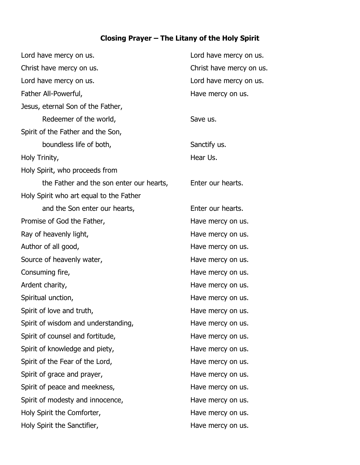# **Closing Prayer – The Litany of the Holy Spirit**

| Lord have mercy on us.                   | Lord have mercy on us.   |
|------------------------------------------|--------------------------|
| Christ have mercy on us.                 | Christ have mercy on us. |
| Lord have mercy on us.                   | Lord have mercy on us.   |
| Father All-Powerful,                     | Have mercy on us.        |
| Jesus, eternal Son of the Father,        |                          |
| Redeemer of the world,                   | Save us.                 |
| Spirit of the Father and the Son,        |                          |
| boundless life of both,                  | Sanctify us.             |
| Holy Trinity,                            | Hear Us.                 |
| Holy Spirit, who proceeds from           |                          |
| the Father and the son enter our hearts, | Enter our hearts.        |
| Holy Spirit who art equal to the Father  |                          |
| and the Son enter our hearts,            | Enter our hearts.        |
| Promise of God the Father,               | Have mercy on us.        |
| Ray of heavenly light,                   | Have mercy on us.        |
| Author of all good,                      | Have mercy on us.        |
| Source of heavenly water,                | Have mercy on us.        |
| Consuming fire,                          | Have mercy on us.        |
| Ardent charity,                          | Have mercy on us.        |
| Spiritual unction,                       | Have mercy on us.        |
| Spirit of love and truth,                | Have mercy on us.        |
| Spirit of wisdom and understanding,      | Have mercy on us.        |
| Spirit of counsel and fortitude,         | Have mercy on us.        |
| Spirit of knowledge and piety,           | Have mercy on us.        |
| Spirit of the Fear of the Lord,          | Have mercy on us.        |
| Spirit of grace and prayer,              | Have mercy on us.        |
| Spirit of peace and meekness,            | Have mercy on us.        |
| Spirit of modesty and innocence,         | Have mercy on us.        |
| Holy Spirit the Comforter,               | Have mercy on us.        |
| Holy Spirit the Sanctifier,              | Have mercy on us.        |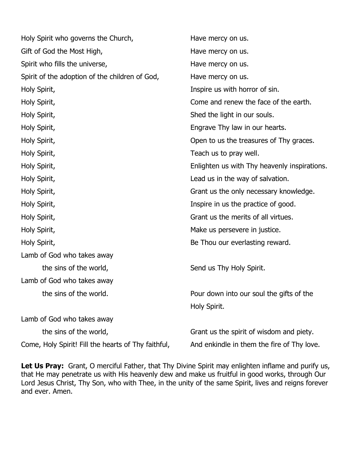| Holy Spirit who governs the Church,                 | Have mercy on us.                            |
|-----------------------------------------------------|----------------------------------------------|
| Gift of God the Most High,                          | Have mercy on us.                            |
| Spirit who fills the universe,                      | Have mercy on us.                            |
| Spirit of the adoption of the children of God,      | Have mercy on us.                            |
| Holy Spirit,                                        | Inspire us with horror of sin.               |
| Holy Spirit,                                        | Come and renew the face of the earth.        |
| Holy Spirit,                                        | Shed the light in our souls.                 |
| Holy Spirit,                                        | Engrave Thy law in our hearts.               |
| Holy Spirit,                                        | Open to us the treasures of Thy graces.      |
| Holy Spirit,                                        | Teach us to pray well.                       |
| Holy Spirit,                                        | Enlighten us with Thy heavenly inspirations. |
| Holy Spirit,                                        | Lead us in the way of salvation.             |
| Holy Spirit,                                        | Grant us the only necessary knowledge.       |
| Holy Spirit,                                        | Inspire in us the practice of good.          |
| Holy Spirit,                                        | Grant us the merits of all virtues.          |
| Holy Spirit,                                        | Make us persevere in justice.                |
| Holy Spirit,                                        | Be Thou our everlasting reward.              |
| Lamb of God who takes away                          |                                              |
| the sins of the world,                              | Send us Thy Holy Spirit.                     |
| Lamb of God who takes away                          |                                              |
| the sins of the world.                              | Pour down into our soul the gifts of the     |
|                                                     | Holy Spirit.                                 |
| Lamb of God who takes away                          |                                              |
| the sins of the world,                              | Grant us the spirit of wisdom and piety.     |
| Come, Holy Spirit! Fill the hearts of Thy faithful, | And enkindle in them the fire of Thy love.   |

Let Us Pray: Grant, O merciful Father, that Thy Divine Spirit may enlighten inflame and purify us, that He may penetrate us with His heavenly dew and make us fruitful in good works, through Our Lord Jesus Christ, Thy Son, who with Thee, in the unity of the same Spirit, lives and reigns forever and ever. Amen.